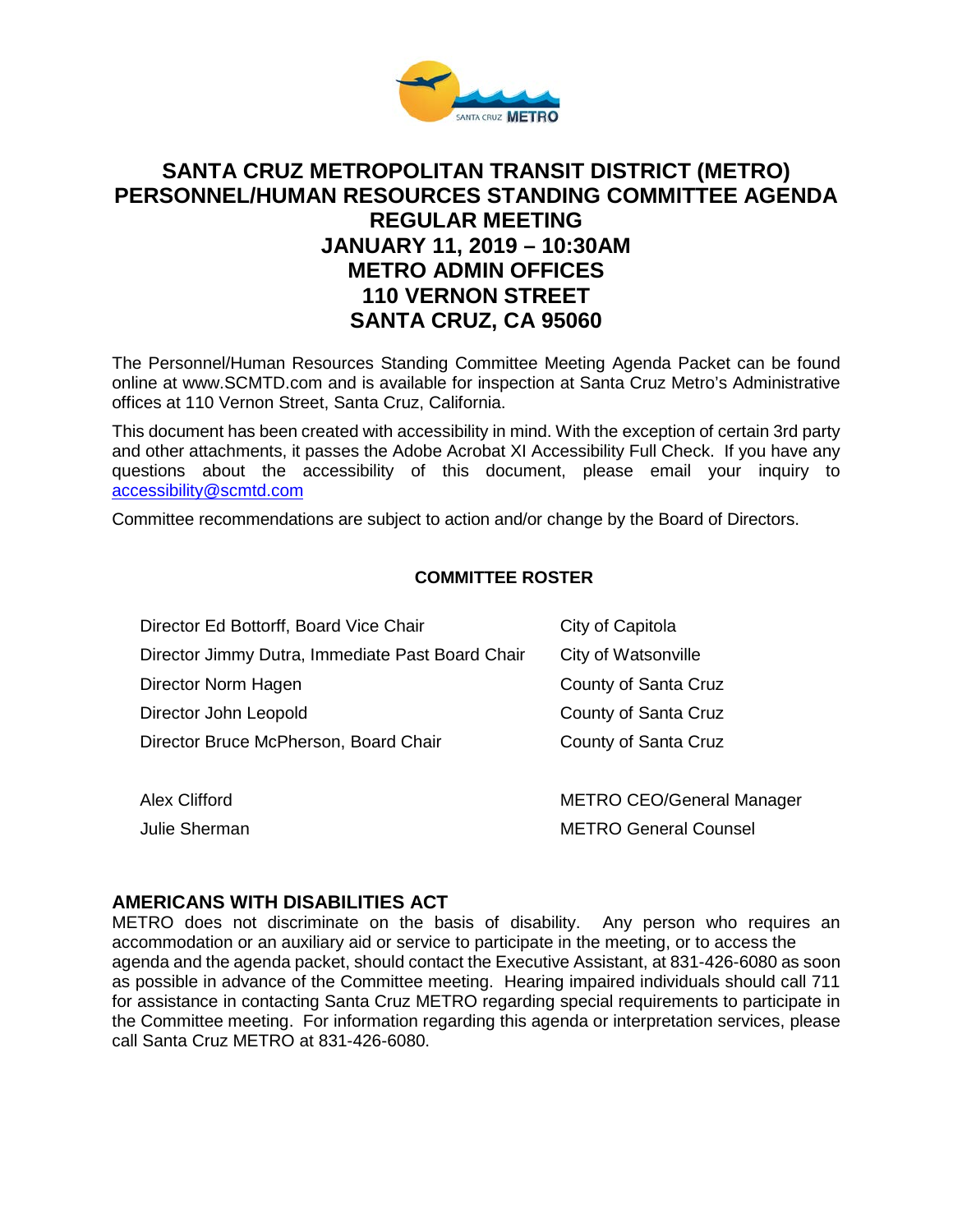

# **SANTA CRUZ METROPOLITAN TRANSIT DISTRICT (METRO) PERSONNEL/HUMAN RESOURCES STANDING COMMITTEE AGENDA REGULAR MEETING JANUARY 11, 2019 – 10:30AM METRO ADMIN OFFICES 110 VERNON STREET SANTA CRUZ, CA 95060**

The Personnel/Human Resources Standing Committee Meeting Agenda Packet can be found online at www.SCMTD.com and is available for inspection at Santa Cruz Metro's Administrative offices at 110 Vernon Street, Santa Cruz, California.

This document has been created with accessibility in mind. With the exception of certain 3rd party and other attachments, it passes the Adobe Acrobat XI Accessibility Full Check. If you have any questions about the accessibility of this document, please email your inquiry to [accessibility@scmtd.com](mailto:accessibility@scmtd.com)

Committee recommendations are subject to action and/or change by the Board of Directors.

### **COMMITTEE ROSTER**

| Director Ed Bottorff, Board Vice Chair           | City of Capitola                 |
|--------------------------------------------------|----------------------------------|
| Director Jimmy Dutra, Immediate Past Board Chair | City of Watsonville              |
| Director Norm Hagen                              | County of Santa Cruz             |
| Director John Leopold                            | County of Santa Cruz             |
| Director Bruce McPherson, Board Chair            | County of Santa Cruz             |
|                                                  |                                  |
| <b>Alex Clifford</b>                             | <b>METRO CEO/General Manager</b> |

Julie Sherman METRO General Counsel

#### **AMERICANS WITH DISABILITIES ACT**

METRO does not discriminate on the basis of disability. Any person who requires an accommodation or an auxiliary aid or service to participate in the meeting, or to access the agenda and the agenda packet, should contact the Executive Assistant, at 831-426-6080 as soon as possible in advance of the Committee meeting. Hearing impaired individuals should call 711 for assistance in contacting Santa Cruz METRO regarding special requirements to participate in the Committee meeting. For information regarding this agenda or interpretation services, please call Santa Cruz METRO at 831-426-6080.